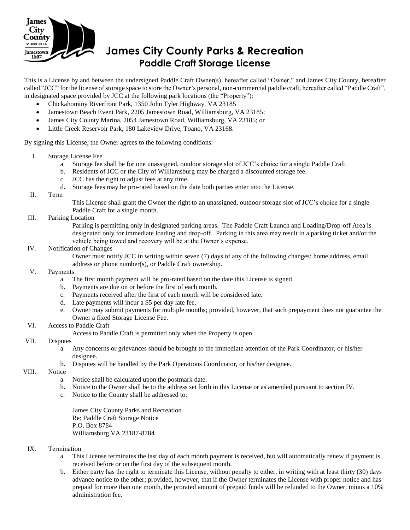

# **James City County Parks & Recreation Paddle Craft Storage License**

This is a License by and between the undersigned Paddle Craft Owner(s), hereafter called "Owner," and James City County, hereafter called "JCC" for the license of storage space to store the Owner's personal, non-commercial paddle craft, hereafter called "Paddle Craft", in designated space provided by JCC at the following park locations (the "Property"):

- Chickahominy Riverfront Park, 1350 John Tyler Highway, VA 23185
- Jamestown Beach Event Park, 2205 Jamestown Road, Williamsburg, VA 23185;
- James City County Marina, 2054 Jamestown Road, Williamsburg, VA 23185; or
- Little Creek Reservoir Park, 180 Lakeview Drive, Toano, VA 23168.

By signing this License, the Owner agrees to the following conditions:

- I. Storage License Fee
	- a. Storage fee shall be for one unassigned, outdoor storage slot of JCC's choice for a single Paddle Craft.
	- b. Residents of JCC or the City of Williamsburg may be charged a discounted storage fee.
	- c. JCC has the right to adjust fees at any time.
	- d. Storage fees may be pro-rated based on the date both parties enter into the License.
- II. Term

This License shall grant the Owner the right to an unassigned, outdoor storage slot of JCC's choice for a single Paddle Craft for a single month.

III. Parking Location

Parking is permitting only in designated parking areas. The Paddle Craft Launch and Loading/Drop-off Area is designated only for immediate loading and drop-off. Parking in this area may result in a parking ticket and/or the vehicle being towed and recovery will be at the Owner's expense.

# IV. Notification of Changes

Owner must notify JCC in writing within seven (7) days of any of the following changes: home address, email address or phone number(s), or Paddle Craft ownership.

#### V. Payments

- a. The first month payment will be pro-rated based on the date this License is signed.
- b. Payments are due on or before the first of each month.
- c. Payments received after the first of each month will be considered late.
- d. Late payments will incur a \$5 per day late fee.
- e. Owner may submit payments for multiple months; provided, however, that such prepayment does not guarantee the Owner a fixed Storage License Fee.

# VI. Access to Paddle Craft

Access to Paddle Craft is permitted only when the Property is open.

#### VII. Disputes

- a. Any concerns or grievances should be brought to the immediate attention of the Park Coordinator, or his/her designee.
- b. Disputes will be handled by the Park Operations Coordinator, or his/her designee.

# VIII. Notice

- a. Notice shall be calculated upon the postmark date.
- b. Notice to the Owner shall be to the address set forth in this License or as amended pursuant to section IV.
- c. Notice to the County shall be addressed to:

James City County Parks and Recreation Re: Paddle Craft Storage Notice P.O. Box 8784 Williamsburg VA 23187-8784

### IX. Termination

- a. This License terminates the last day of each month payment is received, but will automatically renew if payment is received before or on the first day of the subsequent month.
- b. Either party has the right to terminate this License, without penalty to either, in writing with at least thirty (30) days advance notice to the other; provided, however, that if the Owner terminates the License with proper notice and has prepaid for more than one month, the prorated amount of prepaid funds will be refunded to the Owner, minus a 10% administration fee.